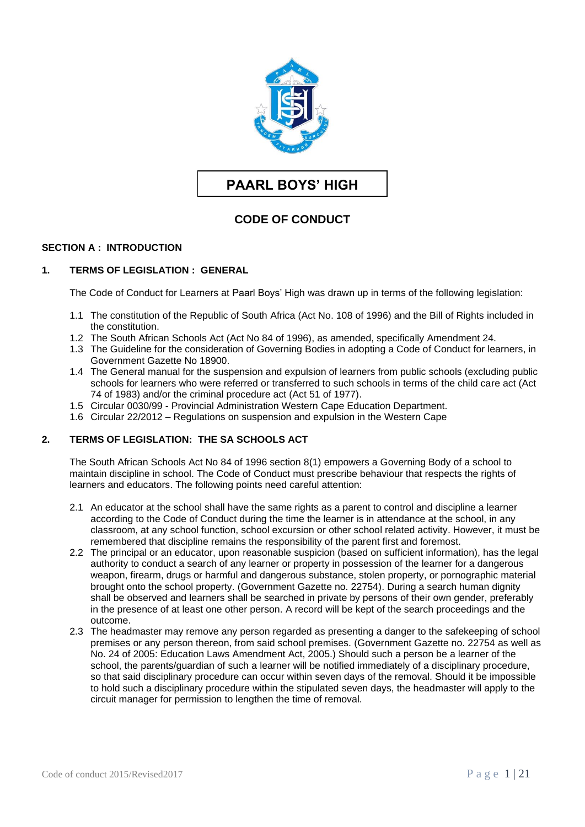

# **PAARL BOYS' HIGH**

## **CODE OF CONDUCT**

#### **SECTION A : INTRODUCTION**

#### **1. TERMS OF LEGISLATION : GENERAL**

The Code of Conduct for Learners at Paarl Boys' High was drawn up in terms of the following legislation:

- 1.1 The constitution of the Republic of South Africa (Act No. 108 of 1996) and the Bill of Rights included in the constitution.
- 1.2 The South African Schools Act (Act No 84 of 1996), as amended, specifically Amendment 24.
- 1.3 The Guideline for the consideration of Governing Bodies in adopting a Code of Conduct for learners, in Government Gazette No 18900.
- 1.4 The General manual for the suspension and expulsion of learners from public schools (excluding public schools for learners who were referred or transferred to such schools in terms of the child care act (Act 74 of 1983) and/or the criminal procedure act (Act 51 of 1977).
- 1.5 Circular 0030/99 Provincial Administration Western Cape Education Department.
- 1.6 Circular 22/2012 Regulations on suspension and expulsion in the Western Cape

## **2. TERMS OF LEGISLATION: THE SA SCHOOLS ACT**

The South African Schools Act No 84 of 1996 section 8(1) empowers a Governing Body of a school to maintain discipline in school. The Code of Conduct must prescribe behaviour that respects the rights of learners and educators. The following points need careful attention:

- 2.1 An educator at the school shall have the same rights as a parent to control and discipline a learner according to the Code of Conduct during the time the learner is in attendance at the school, in any classroom, at any school function, school excursion or other school related activity. However, it must be remembered that discipline remains the responsibility of the parent first and foremost.
- 2.2 The principal or an educator, upon reasonable suspicion (based on sufficient information), has the legal authority to conduct a search of any learner or property in possession of the learner for a dangerous weapon, firearm, drugs or harmful and dangerous substance, stolen property, or pornographic material brought onto the school property. (Government Gazette no. 22754). During a search human dignity shall be observed and learners shall be searched in private by persons of their own gender, preferably in the presence of at least one other person. A record will be kept of the search proceedings and the outcome.
- 2.3 The headmaster may remove any person regarded as presenting a danger to the safekeeping of school premises or any person thereon, from said school premises. (Government Gazette no. 22754 as well as No. 24 of 2005: Education Laws Amendment Act, 2005.) Should such a person be a learner of the school, the parents/guardian of such a learner will be notified immediately of a disciplinary procedure, so that said disciplinary procedure can occur within seven days of the removal. Should it be impossible to hold such a disciplinary procedure within the stipulated seven days, the headmaster will apply to the circuit manager for permission to lengthen the time of removal.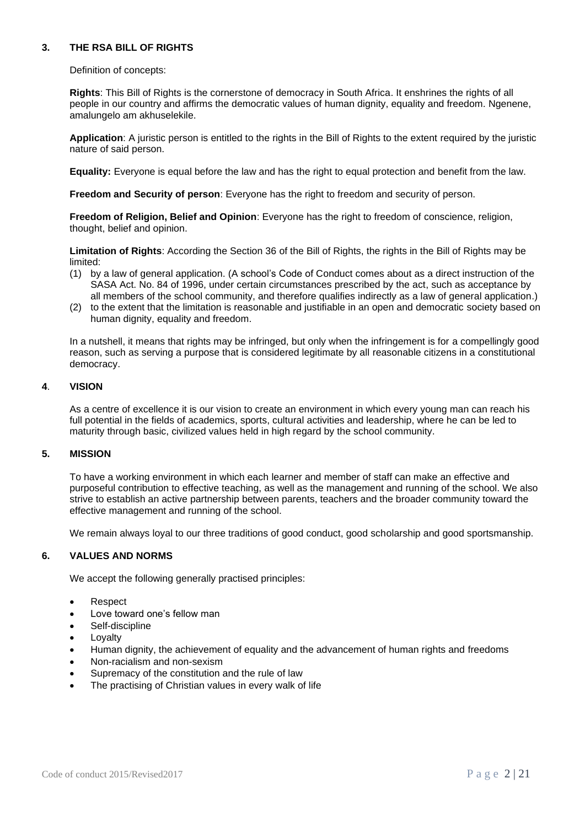## **3. THE RSA BILL OF RIGHTS**

Definition of concepts:

**Rights**: This Bill of Rights is the cornerstone of democracy in South Africa. It enshrines the rights of all people in our country and affirms the democratic values of human dignity, equality and freedom. Ngenene, amalungelo am akhuselekile.

**Application**: A juristic person is entitled to the rights in the Bill of Rights to the extent required by the juristic nature of said person.

**Equality:** Everyone is equal before the law and has the right to equal protection and benefit from the law.

**Freedom and Security of person**: Everyone has the right to freedom and security of person.

**Freedom of Religion, Belief and Opinion**: Everyone has the right to freedom of conscience, religion, thought, belief and opinion.

**Limitation of Rights**: According the Section 36 of the Bill of Rights, the rights in the Bill of Rights may be limited:

- (1) by a law of general application. (A school's Code of Conduct comes about as a direct instruction of the SASA Act. No. 84 of 1996, under certain circumstances prescribed by the act, such as acceptance by all members of the school community, and therefore qualifies indirectly as a law of general application.)
- (2) to the extent that the limitation is reasonable and justifiable in an open and democratic society based on human dignity, equality and freedom.

In a nutshell, it means that rights may be infringed, but only when the infringement is for a compellingly good reason, such as serving a purpose that is considered legitimate by all reasonable citizens in a constitutional democracy.

#### **4**. **VISION**

As a centre of excellence it is our vision to create an environment in which every young man can reach his full potential in the fields of academics, sports, cultural activities and leadership, where he can be led to maturity through basic, civilized values held in high regard by the school community.

### **5. MISSION**

To have a working environment in which each learner and member of staff can make an effective and purposeful contribution to effective teaching, as well as the management and running of the school. We also strive to establish an active partnership between parents, teachers and the broader community toward the effective management and running of the school.

We remain always loyal to our three traditions of good conduct, good scholarship and good sportsmanship.

## **6. VALUES AND NORMS**

We accept the following generally practised principles:

- Respect
- Love toward one's fellow man
- Self-discipline
- **Lovalty**
- Human dignity, the achievement of equality and the advancement of human rights and freedoms
- Non-racialism and non-sexism
- Supremacy of the constitution and the rule of law
- The practising of Christian values in every walk of life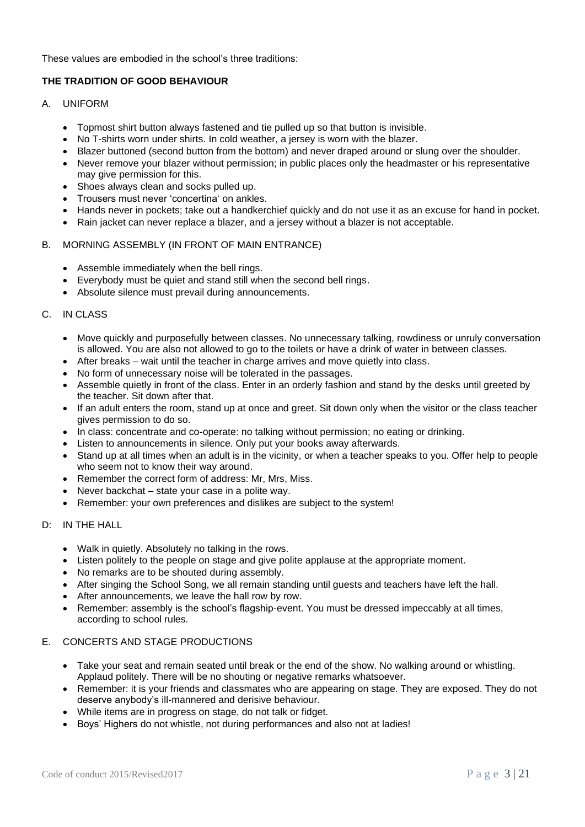These values are embodied in the school's three traditions:

## **THE TRADITION OF GOOD BEHAVIOUR**

- A. UNIFORM
	- Topmost shirt button always fastened and tie pulled up so that button is invisible.
	- No T-shirts worn under shirts. In cold weather, a jersey is worn with the blazer.
	- Blazer buttoned (second button from the bottom) and never draped around or slung over the shoulder.
	- Never remove your blazer without permission; in public places only the headmaster or his representative may give permission for this.
	- Shoes always clean and socks pulled up.
	- Trousers must never 'concertina' on ankles.
	- Hands never in pockets; take out a handkerchief quickly and do not use it as an excuse for hand in pocket.
	- Rain jacket can never replace a blazer, and a jersey without a blazer is not acceptable.

#### B. MORNING ASSEMBLY (IN FRONT OF MAIN ENTRANCE)

- Assemble immediately when the bell rings.
- Everybody must be quiet and stand still when the second bell rings.
- Absolute silence must prevail during announcements.

#### C. IN CLASS

- Move quickly and purposefully between classes. No unnecessary talking, rowdiness or unruly conversation is allowed. You are also not allowed to go to the toilets or have a drink of water in between classes.
- After breaks wait until the teacher in charge arrives and move quietly into class.
- No form of unnecessary noise will be tolerated in the passages.
- Assemble quietly in front of the class. Enter in an orderly fashion and stand by the desks until greeted by the teacher. Sit down after that.
- If an adult enters the room, stand up at once and greet. Sit down only when the visitor or the class teacher gives permission to do so.
- In class: concentrate and co-operate: no talking without permission; no eating or drinking.
- Listen to announcements in silence. Only put your books away afterwards.
- Stand up at all times when an adult is in the vicinity, or when a teacher speaks to you. Offer help to people who seem not to know their way around.
- Remember the correct form of address: Mr, Mrs, Miss.
- Never backchat state your case in a polite way.
- Remember: your own preferences and dislikes are subject to the system!

#### D: IN THE HALL

- Walk in quietly. Absolutely no talking in the rows.
- Listen politely to the people on stage and give polite applause at the appropriate moment.
- No remarks are to be shouted during assembly.
- After singing the School Song, we all remain standing until guests and teachers have left the hall.
- After announcements, we leave the hall row by row.
- Remember: assembly is the school's flagship-event. You must be dressed impeccably at all times, according to school rules.

## E. CONCERTS AND STAGE PRODUCTIONS

- Take your seat and remain seated until break or the end of the show. No walking around or whistling. Applaud politely. There will be no shouting or negative remarks whatsoever.
- Remember: it is your friends and classmates who are appearing on stage. They are exposed. They do not deserve anybody's ill-mannered and derisive behaviour.
- While items are in progress on stage, do not talk or fidget.
- Boys' Highers do not whistle, not during performances and also not at ladies!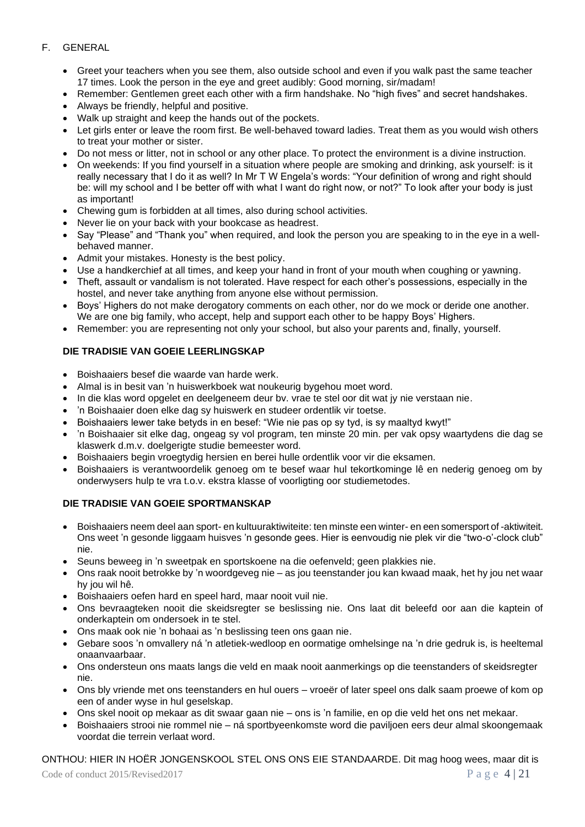## F. GENERAL

- Greet your teachers when you see them, also outside school and even if you walk past the same teacher 17 times. Look the person in the eye and greet audibly: Good morning, sir/madam!
- Remember: Gentlemen greet each other with a firm handshake. No "high fives" and secret handshakes.
- Always be friendly, helpful and positive.
- Walk up straight and keep the hands out of the pockets.
- Let girls enter or leave the room first. Be well-behaved toward ladies. Treat them as you would wish others to treat your mother or sister.
- Do not mess or litter, not in school or any other place. To protect the environment is a divine instruction.
- On weekends: If you find yourself in a situation where people are smoking and drinking, ask yourself: is it really necessary that I do it as well? In Mr T W Engela's words: "Your definition of wrong and right should be: will my school and I be better off with what I want do right now, or not?" To look after your body is just as important!
- Chewing gum is forbidden at all times, also during school activities.
- Never lie on your back with your bookcase as headrest.
- Say "Please" and "Thank you" when required, and look the person you are speaking to in the eye in a wellbehaved manner.
- Admit your mistakes. Honesty is the best policy.
- Use a handkerchief at all times, and keep your hand in front of your mouth when coughing or yawning.
- Theft, assault or vandalism is not tolerated. Have respect for each other's possessions, especially in the hostel, and never take anything from anyone else without permission.
- Boys' Highers do not make derogatory comments on each other, nor do we mock or deride one another. We are one big family, who accept, help and support each other to be happy Boys' Highers.
- Remember: you are representing not only your school, but also your parents and, finally, yourself.

## **DIE TRADISIE VAN GOEIE LEERLINGSKAP**

- Boishaaiers besef die waarde van harde werk.
- Almal is in besit van 'n huiswerkboek wat noukeurig bygehou moet word.
- In die klas word opgelet en deelgeneem deur bv. vrae te stel oor dit wat jy nie verstaan nie.
- 'n Boishaaier doen elke dag sy huiswerk en studeer ordentlik vir toetse.
- Boishaaiers lewer take betyds in en besef: "Wie nie pas op sy tyd, is sy maaltyd kwyt!"
- 'n Boishaaier sit elke dag, ongeag sy vol program, ten minste 20 min. per vak opsy waartydens die dag se klaswerk d.m.v. doelgerigte studie bemeester word.
- Boishaaiers begin vroegtydig hersien en berei hulle ordentlik voor vir die eksamen.
- Boishaaiers is verantwoordelik genoeg om te besef waar hul tekortkominge lê en nederig genoeg om by onderwysers hulp te vra t.o.v. ekstra klasse of voorligting oor studiemetodes.

#### **DIE TRADISIE VAN GOEIE SPORTMANSKAP**

- Boishaaiers neem deel aan sport- en kultuuraktiwiteite: ten minste een winter- en een somersport of -aktiwiteit. Ons weet 'n gesonde liggaam huisves 'n gesonde gees. Hier is eenvoudig nie plek vir die "two-o'-clock club" nie.
- Seuns beweeg in 'n sweetpak en sportskoene na die oefenveld; geen plakkies nie.
- Ons raak nooit betrokke by 'n woordgeveg nie as jou teenstander jou kan kwaad maak, het hy jou net waar hy jou wil hê.
- Boishaaiers oefen hard en speel hard, maar nooit vuil nie.
- Ons bevraagteken nooit die skeidsregter se beslissing nie. Ons laat dit beleefd oor aan die kaptein of onderkaptein om ondersoek in te stel.
- Ons maak ook nie 'n bohaai as 'n beslissing teen ons gaan nie.
- Gebare soos 'n omvallery ná 'n atletiek-wedloop en oormatige omhelsinge na 'n drie gedruk is, is heeltemal onaanvaarbaar.
- Ons ondersteun ons maats langs die veld en maak nooit aanmerkings op die teenstanders of skeidsregter nie.
- Ons bly vriende met ons teenstanders en hul ouers vroeër of later speel ons dalk saam proewe of kom op een of ander wyse in hul geselskap.
- Ons skel nooit op mekaar as dit swaar gaan nie ons is 'n familie, en op die veld het ons net mekaar.
- Boishaaiers strooi nie rommel nie ná sportbyeenkomste word die paviljoen eers deur almal skoongemaak voordat die terrein verlaat word.

## ONTHOU: HIER IN HOËR JONGENSKOOL STEL ONS ONS EIE STANDAARDE. Dit mag hoog wees, maar dit is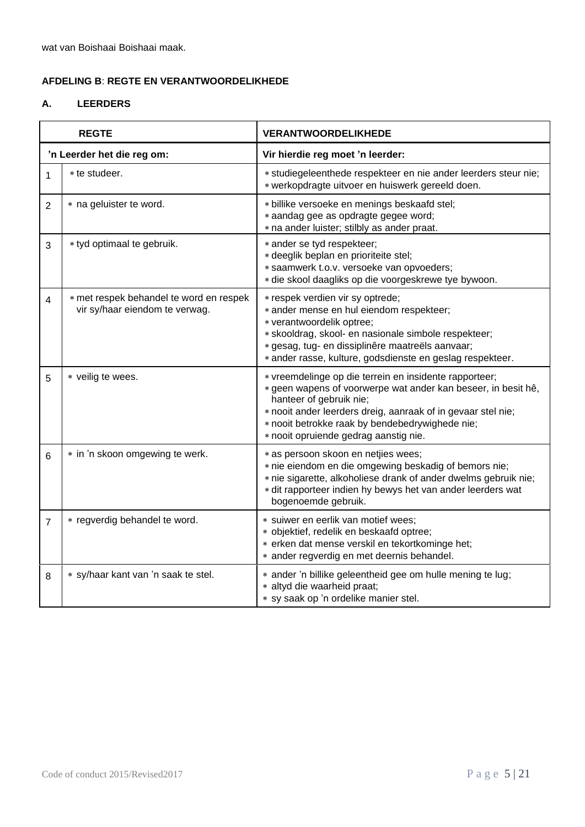wat van Boishaai Boishaai maak.

## **AFDELING B**: **REGTE EN VERANTWOORDELIKHEDE**

## **A. LEERDERS**

| <b>REGTE</b>               |                                                                           | <b>VERANTWOORDELIKHEDE</b>                                                                                                                                                                                                                                                                                     |  |
|----------------------------|---------------------------------------------------------------------------|----------------------------------------------------------------------------------------------------------------------------------------------------------------------------------------------------------------------------------------------------------------------------------------------------------------|--|
| 'n Leerder het die reg om: |                                                                           | Vir hierdie reg moet 'n leerder:                                                                                                                                                                                                                                                                               |  |
| 1                          | * te studeer.                                                             | * studiegeleenthede respekteer en nie ander leerders steur nie;<br>* werkopdragte uitvoer en huiswerk gereeld doen.                                                                                                                                                                                            |  |
| $\overline{2}$             | * na geluister te word.                                                   | * billike versoeke en menings beskaafd stel;<br>* aandag gee as opdragte gegee word;<br>* na ander luister; stilbly as ander praat.                                                                                                                                                                            |  |
| 3                          | * tyd optimaal te gebruik.                                                | * ander se tyd respekteer;<br>* deeglik beplan en prioriteite stel;<br>* saamwerk t.o.v. versoeke van opvoeders;<br>* die skool daagliks op die voorgeskrewe tye bywoon.                                                                                                                                       |  |
| 4                          | * met respek behandel te word en respek<br>vir sy/haar eiendom te verwag. | * respek verdien vir sy optrede;<br>* ander mense en hul eiendom respekteer;<br>* verantwoordelik optree;<br>* skooldrag, skool- en nasionale simbole respekteer;<br>* gesag, tug- en dissiplinêre maatreëls aanvaar;<br>* ander rasse, kulture, godsdienste en geslag respekteer.                             |  |
| 5                          | * veilig te wees.                                                         | * vreemdelinge op die terrein en insidente rapporteer;<br>* geen wapens of voorwerpe wat ander kan beseer, in besit hê,<br>hanteer of gebruik nie;<br>* nooit ander leerders dreig, aanraak of in gevaar stel nie;<br>* nooit betrokke raak by bendebedrywighede nie;<br>* nooit opruiende gedrag aanstig nie. |  |
| 6                          | * in 'n skoon omgewing te werk.                                           | * as persoon skoon en netjies wees;<br>* nie eiendom en die omgewing beskadig of bemors nie;<br>* nie sigarette, alkoholiese drank of ander dwelms gebruik nie;<br>* dit rapporteer indien hy bewys het van ander leerders wat<br>bogenoemde gebruik.                                                          |  |
| $\overline{7}$             | * regverdig behandel te word.                                             | * suiwer en eerlik van motief wees;<br>* objektief, redelik en beskaafd optree;<br>* erken dat mense verskil en tekortkominge het;<br>* ander regverdig en met deernis behandel.                                                                                                                               |  |
| 8                          | * sy/haar kant van 'n saak te stel.                                       | * ander 'n billike geleentheid gee om hulle mening te lug;<br>* altyd die waarheid praat;<br>* sy saak op 'n ordelike manier stel.                                                                                                                                                                             |  |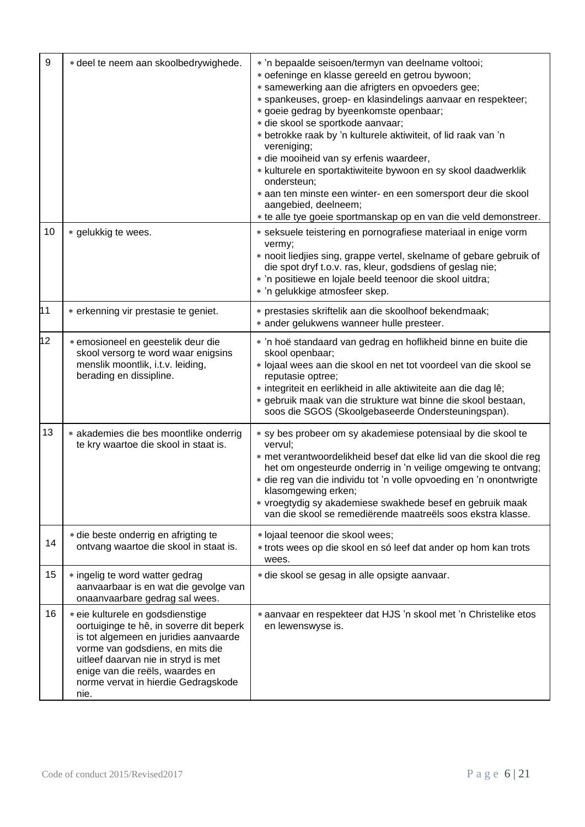| 9  | * deel te neem aan skoolbedrywighede.                                                                                                                                                                                                                                              | * 'n bepaalde seisoen/termyn van deelname voltooi;<br>* oefeninge en klasse gereeld en getrou bywoon;<br>* samewerking aan die afrigters en opvoeders gee;<br>* spankeuses, groep- en klasindelings aanvaar en respekteer;<br>* goeie gedrag by byeenkomste openbaar;<br>* die skool se sportkode aanvaar;<br>* betrokke raak by 'n kulturele aktiwiteit, of lid raak van 'n<br>vereniging;<br>* die mooiheid van sy erfenis waardeer,<br>* kulturele en sportaktiwiteite bywoon en sy skool daadwerklik<br>ondersteun;<br>* aan ten minste een winter- en een somersport deur die skool<br>aangebied, deelneem;<br>* te alle tye goeie sportmanskap op en van die veld demonstreer. |  |
|----|------------------------------------------------------------------------------------------------------------------------------------------------------------------------------------------------------------------------------------------------------------------------------------|--------------------------------------------------------------------------------------------------------------------------------------------------------------------------------------------------------------------------------------------------------------------------------------------------------------------------------------------------------------------------------------------------------------------------------------------------------------------------------------------------------------------------------------------------------------------------------------------------------------------------------------------------------------------------------------|--|
| 10 | * gelukkig te wees.                                                                                                                                                                                                                                                                | * seksuele teistering en pornografiese materiaal in enige vorm<br>vermy;<br>* nooit liedjies sing, grappe vertel, skelname of gebare gebruik of<br>die spot dryf t.o.v. ras, kleur, godsdiens of geslag nie;<br>* 'n positiewe en lojale beeld teenoor die skool uitdra;<br>* 'n gelukkige atmosfeer skep.                                                                                                                                                                                                                                                                                                                                                                           |  |
| 11 | * erkenning vir prestasie te geniet.                                                                                                                                                                                                                                               | * prestasies skriftelik aan die skoolhoof bekendmaak;<br>* ander gelukwens wanneer hulle presteer.                                                                                                                                                                                                                                                                                                                                                                                                                                                                                                                                                                                   |  |
| 12 | * emosioneel en geestelik deur die<br>skool versorg te word waar enigsins<br>menslik moontlik, i.t.v. leiding,<br>berading en dissipline.                                                                                                                                          | * 'n hoë standaard van gedrag en hoflikheid binne en buite die<br>skool openbaar;<br>* lojaal wees aan die skool en net tot voordeel van die skool se<br>reputasie optree;<br>* integriteit en eerlikheid in alle aktiwiteite aan die dag lê;<br>* gebruik maak van die strukture wat binne die skool bestaan,<br>soos die SGOS (Skoolgebaseerde Ondersteuningspan).                                                                                                                                                                                                                                                                                                                 |  |
| 13 | * akademies die bes moontlike onderrig<br>te kry waartoe die skool in staat is.                                                                                                                                                                                                    | * sy bes probeer om sy akademiese potensiaal by die skool te<br>vervul;<br>* met verantwoordelikheid besef dat elke lid van die skool die reg<br>het om ongesteurde onderrig in 'n veilige omgewing te ontvang;<br>* die reg van die individu tot 'n volle opvoeding en 'n onontwrigte<br>klasomgewing erken;<br>* vroegtydig sy akademiese swakhede besef en gebruik maak<br>van die skool se remediërende maatreëls soos ekstra klasse.                                                                                                                                                                                                                                            |  |
| 14 | * die beste onderrig en afrigting te<br>ontvang waartoe die skool in staat is.                                                                                                                                                                                                     | * lojaal teenoor die skool wees;<br>* trots wees op die skool en só leef dat ander op hom kan trots<br>wees.                                                                                                                                                                                                                                                                                                                                                                                                                                                                                                                                                                         |  |
| 15 | * ingelig te word watter gedrag<br>aanvaarbaar is en wat die gevolge van<br>onaanvaarbare gedrag sal wees.                                                                                                                                                                         | * die skool se gesag in alle opsigte aanvaar.                                                                                                                                                                                                                                                                                                                                                                                                                                                                                                                                                                                                                                        |  |
| 16 | * eie kulturele en godsdienstige<br>oortuiginge te hê, in soverre dit beperk<br>is tot algemeen en juridies aanvaarde<br>vorme van godsdiens, en mits die<br>uitleef daarvan nie in stryd is met<br>enige van die reëls, waardes en<br>norme vervat in hierdie Gedragskode<br>nie. | * aanvaar en respekteer dat HJS 'n skool met 'n Christelike etos<br>en lewenswyse is.                                                                                                                                                                                                                                                                                                                                                                                                                                                                                                                                                                                                |  |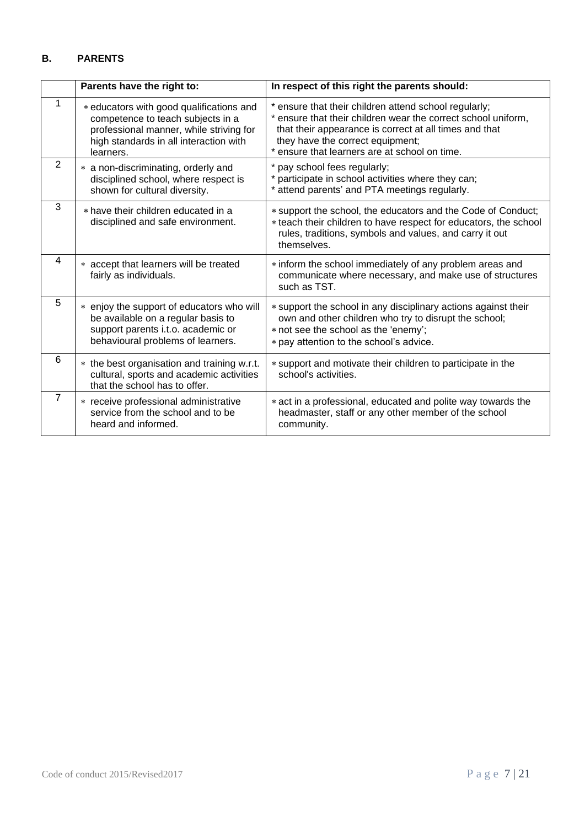## **B. PARENTS**

|                | Parents have the right to:                                                                                                                                                      | In respect of this right the parents should:                                                                                                                                                                                                                          |
|----------------|---------------------------------------------------------------------------------------------------------------------------------------------------------------------------------|-----------------------------------------------------------------------------------------------------------------------------------------------------------------------------------------------------------------------------------------------------------------------|
|                | * educators with good qualifications and<br>competence to teach subjects in a<br>professional manner, while striving for<br>high standards in all interaction with<br>learners. | * ensure that their children attend school regularly;<br>* ensure that their children wear the correct school uniform,<br>that their appearance is correct at all times and that<br>they have the correct equipment;<br>* ensure that learners are at school on time. |
| 2              | * a non-discriminating, orderly and<br>disciplined school, where respect is<br>shown for cultural diversity.                                                                    | * pay school fees regularly;<br>participate in school activities where they can;<br>* attend parents' and PTA meetings regularly.                                                                                                                                     |
| 3              | * have their children educated in a<br>disciplined and safe environment.                                                                                                        | * support the school, the educators and the Code of Conduct;<br>* teach their children to have respect for educators, the school<br>rules, traditions, symbols and values, and carry it out<br>themselves.                                                            |
| 4              | * accept that learners will be treated<br>fairly as individuals.                                                                                                                | * inform the school immediately of any problem areas and<br>communicate where necessary, and make use of structures<br>such as TST.                                                                                                                                   |
| 5              | * enjoy the support of educators who will<br>be available on a regular basis to<br>support parents i.t.o. academic or<br>behavioural problems of learners.                      | * support the school in any disciplinary actions against their<br>own and other children who try to disrupt the school;<br>* not see the school as the 'enemy';<br>* pay attention to the school's advice.                                                            |
| 6              | * the best organisation and training w.r.t.<br>cultural, sports and academic activities<br>that the school has to offer.                                                        | * support and motivate their children to participate in the<br>school's activities.                                                                                                                                                                                   |
| $\overline{7}$ | * receive professional administrative<br>service from the school and to be<br>heard and informed.                                                                               | * act in a professional, educated and polite way towards the<br>headmaster, staff or any other member of the school<br>community.                                                                                                                                     |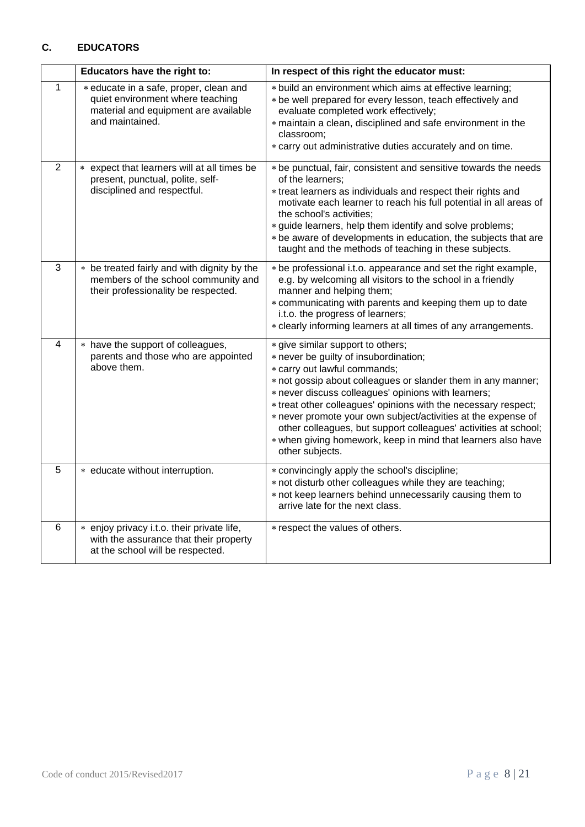## **C. EDUCATORS**

|                | Educators have the right to:                                                                                                          | In respect of this right the educator must:                                                                                                                                                                                                                                                                                                                                                                                                                                                                                |
|----------------|---------------------------------------------------------------------------------------------------------------------------------------|----------------------------------------------------------------------------------------------------------------------------------------------------------------------------------------------------------------------------------------------------------------------------------------------------------------------------------------------------------------------------------------------------------------------------------------------------------------------------------------------------------------------------|
| $\mathbf{1}$   | * educate in a safe, proper, clean and<br>quiet environment where teaching<br>material and equipment are available<br>and maintained. | * build an environment which aims at effective learning;<br>* be well prepared for every lesson, teach effectively and<br>evaluate completed work effectively;<br>* maintain a clean, disciplined and safe environment in the<br>classroom;<br>* carry out administrative duties accurately and on time.                                                                                                                                                                                                                   |
| $\overline{2}$ | expect that learners will at all times be<br>$\ast$<br>present, punctual, polite, self-<br>disciplined and respectful.                | * be punctual, fair, consistent and sensitive towards the needs<br>of the learners;<br>* treat learners as individuals and respect their rights and<br>motivate each learner to reach his full potential in all areas of<br>the school's activities;<br>* guide learners, help them identify and solve problems;<br>* be aware of developments in education, the subjects that are<br>taught and the methods of teaching in these subjects.                                                                                |
| 3              | be treated fairly and with dignity by the<br>$\ast$<br>members of the school community and<br>their professionality be respected.     | * be professional i.t.o. appearance and set the right example,<br>e.g. by welcoming all visitors to the school in a friendly<br>manner and helping them;<br>* communicating with parents and keeping them up to date<br>i.t.o. the progress of learners;<br>* clearly informing learners at all times of any arrangements.                                                                                                                                                                                                 |
| 4              | * have the support of colleagues,<br>parents and those who are appointed<br>above them.                                               | * give similar support to others;<br>* never be guilty of insubordination;<br>* carry out lawful commands;<br>* not gossip about colleagues or slander them in any manner;<br>* never discuss colleagues' opinions with learners;<br>* treat other colleagues' opinions with the necessary respect;<br>* never promote your own subject/activities at the expense of<br>other colleagues, but support colleagues' activities at school;<br>* when giving homework, keep in mind that learners also have<br>other subjects. |
| 5              | * educate without interruption.                                                                                                       | * convincingly apply the school's discipline;<br>* not disturb other colleagues while they are teaching;<br>* not keep learners behind unnecessarily causing them to<br>arrive late for the next class.                                                                                                                                                                                                                                                                                                                    |
| 6              | * enjoy privacy i.t.o. their private life,<br>with the assurance that their property<br>at the school will be respected.              | * respect the values of others.                                                                                                                                                                                                                                                                                                                                                                                                                                                                                            |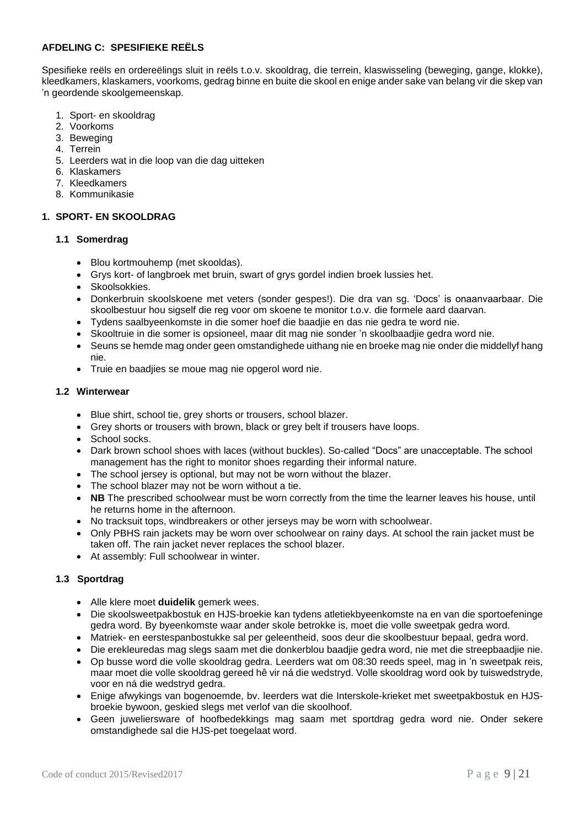#### **AFDELING C: SPESIFIEKE REËLS**

Spesifieke reëls en ordereëlings sluit in reëls t.o.v. skooldrag, die terrein, klaswisseling (beweging, gange, klokke), kleedkamers, klaskamers, voorkoms, gedrag binne en buite die skool en enige ander sake van belang vir die skep van 'n geordende skoolgemeenskap.

- 1. Sport- en skooldrag
- 2. Voorkoms
- 3. Beweging
- 4. Terrein
- 5. Leerders wat in die loop van die dag uitteken
- 6. Klaskamers
- 7. Kleedkamers
- 8. Kommunikasie

#### **1. SPORT- EN SKOOLDRAG**

#### **1.1 Somerdrag**

- Blou kortmouhemp (met skooldas).
- Grys kort- of langbroek met bruin, swart of grys gordel indien broek lussies het.
- Skoolsokkies.
- Donkerbruin skoolskoene met veters (sonder gespes!). Die dra van sg. 'Docs' is onaanvaarbaar. Die skoolbestuur hou sigself die reg voor om skoene te monitor t.o.v. die formele aard daarvan.
- Tydens saalbyeenkomste in die somer hoef die baadjie en das nie gedra te word nie.
- Skooltruie in die somer is opsioneel, maar dit mag nie sonder 'n skoolbaadjie gedra word nie.
- Seuns se hemde mag onder geen omstandighede uithang nie en broeke mag nie onder die middellyf hang nie.
- Truie en baadjies se moue mag nie opgerol word nie.

#### **1.2 Winterwear**

- Blue shirt, school tie, grey shorts or trousers, school blazer.
- Grey shorts or trousers with brown, black or grey belt if trousers have loops.
- School socks.
- Dark brown school shoes with laces (without buckles). So-called "Docs" are unacceptable. The school management has the right to monitor shoes regarding their informal nature.
- The school jersey is optional, but may not be worn without the blazer.
- The school blazer may not be worn without a tie.
- **NB** The prescribed schoolwear must be worn correctly from the time the learner leaves his house, until he returns home in the afternoon.
- No tracksuit tops, windbreakers or other jerseys may be worn with schoolwear.
- Only PBHS rain jackets may be worn over schoolwear on rainy days. At school the rain jacket must be taken off. The rain jacket never replaces the school blazer.
- At assembly: Full schoolwear in winter.

#### **1.3 Sportdrag**

- Alle klere moet **duidelik** gemerk wees.
- Die skoolsweetpakbostuk en HJS-broekie kan tydens atletiekbyeenkomste na en van die sportoefeninge gedra word. By byeenkomste waar ander skole betrokke is, moet die volle sweetpak gedra word.
- Matriek- en eerstespanbostukke sal per geleentheid, soos deur die skoolbestuur bepaal, gedra word.
- Die erekleuredas mag slegs saam met die donkerblou baadjie gedra word, nie met die streepbaadjie nie.
- Op busse word die volle skooldrag gedra. Leerders wat om 08:30 reeds speel, mag in 'n sweetpak reis, maar moet die volle skooldrag gereed hê vir ná die wedstryd. Volle skooldrag word ook by tuiswedstryde, voor en ná die wedstryd gedra.
- Enige afwykings van bogenoemde, bv. leerders wat die Interskole-krieket met sweetpakbostuk en HJSbroekie bywoon, geskied slegs met verlof van die skoolhoof.
- Geen juweliersware of hoofbedekkings mag saam met sportdrag gedra word nie. Onder sekere omstandighede sal die HJS-pet toegelaat word.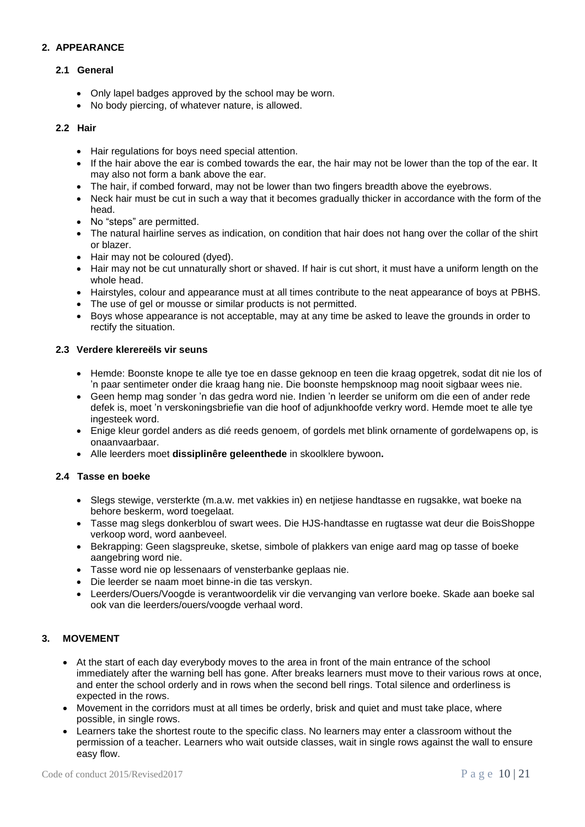#### **2. APPEARANCE**

#### **2.1 General**

- Only lapel badges approved by the school may be worn.
- No body piercing, of whatever nature, is allowed.

#### **2.2 Hair**

- Hair regulations for boys need special attention.
- If the hair above the ear is combed towards the ear, the hair may not be lower than the top of the ear. It may also not form a bank above the ear.
- The hair, if combed forward, may not be lower than two fingers breadth above the eyebrows.
- Neck hair must be cut in such a way that it becomes gradually thicker in accordance with the form of the head.
- No "steps" are permitted.
- The natural hairline serves as indication, on condition that hair does not hang over the collar of the shirt or blazer.
- Hair may not be coloured (dyed).
- Hair may not be cut unnaturally short or shaved. If hair is cut short, it must have a uniform length on the whole head.
- Hairstyles, colour and appearance must at all times contribute to the neat appearance of boys at PBHS.
- The use of gel or mousse or similar products is not permitted.
- Boys whose appearance is not acceptable, may at any time be asked to leave the grounds in order to rectify the situation.

#### **2.3 Verdere klerereëls vir seuns**

- Hemde: Boonste knope te alle tye toe en dasse geknoop en teen die kraag opgetrek, sodat dit nie los of 'n paar sentimeter onder die kraag hang nie. Die boonste hempsknoop mag nooit sigbaar wees nie.
- Geen hemp mag sonder 'n das gedra word nie. Indien 'n leerder se uniform om die een of ander rede defek is, moet 'n verskoningsbriefie van die hoof of adjunkhoofde verkry word. Hemde moet te alle tye ingesteek word.
- Enige kleur gordel anders as dié reeds genoem, of gordels met blink ornamente of gordelwapens op, is onaanvaarbaar.
- Alle leerders moet **dissiplinêre geleenthede** in skoolklere bywoon**.**

#### **2.4 Tasse en boeke**

- Slegs stewige, versterkte (m.a.w. met vakkies in) en netjiese handtasse en rugsakke, wat boeke na behore beskerm, word toegelaat.
- Tasse mag slegs donkerblou of swart wees. Die HJS-handtasse en rugtasse wat deur die BoisShoppe verkoop word, word aanbeveel.
- Bekrapping: Geen slagspreuke, sketse, simbole of plakkers van enige aard mag op tasse of boeke aangebring word nie.
- Tasse word nie op lessenaars of vensterbanke geplaas nie.
- Die leerder se naam moet binne-in die tas verskyn.
- Leerders/Ouers/Voogde is verantwoordelik vir die vervanging van verlore boeke. Skade aan boeke sal ook van die leerders/ouers/voogde verhaal word.

#### **3. MOVEMENT**

- At the start of each day everybody moves to the area in front of the main entrance of the school immediately after the warning bell has gone. After breaks learners must move to their various rows at once, and enter the school orderly and in rows when the second bell rings. Total silence and orderliness is expected in the rows.
- Movement in the corridors must at all times be orderly, brisk and quiet and must take place, where possible, in single rows.
- Learners take the shortest route to the specific class. No learners may enter a classroom without the permission of a teacher. Learners who wait outside classes, wait in single rows against the wall to ensure easy flow.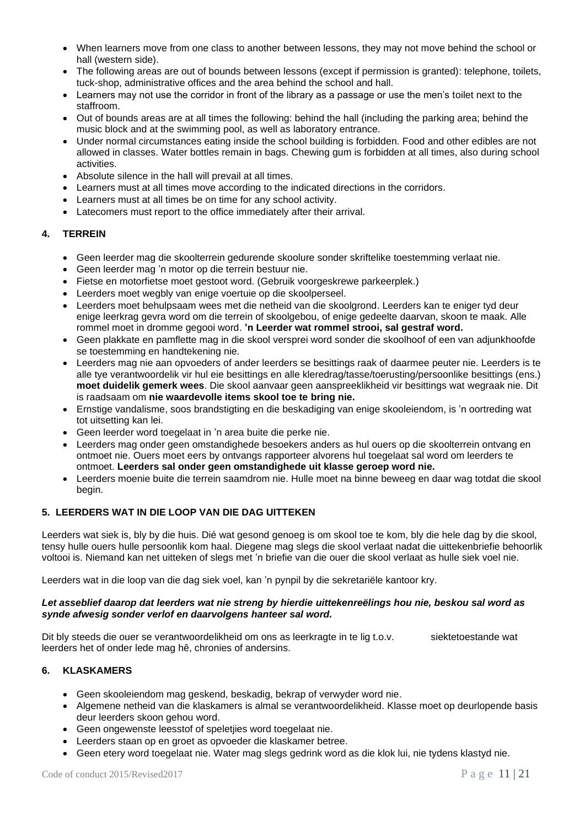- When learners move from one class to another between lessons, they may not move behind the school or hall (western side).
- The following areas are out of bounds between lessons (except if permission is granted): telephone, toilets, tuck-shop, administrative offices and the area behind the school and hall.
- Learners may not use the corridor in front of the library as a passage or use the men's toilet next to the staffroom.
- Out of bounds areas are at all times the following: behind the hall (including the parking area; behind the music block and at the swimming pool, as well as laboratory entrance.
- Under normal circumstances eating inside the school building is forbidden. Food and other edibles are not allowed in classes. Water bottles remain in bags. Chewing gum is forbidden at all times, also during school activities.
- Absolute silence in the hall will prevail at all times.
- Learners must at all times move according to the indicated directions in the corridors.
- Learners must at all times be on time for any school activity.
- Latecomers must report to the office immediately after their arrival.

## **4. TERREIN**

- Geen leerder mag die skoolterrein gedurende skoolure sonder skriftelike toestemming verlaat nie.
- Geen leerder mag 'n motor op die terrein bestuur nie.
- Fietse en motorfietse moet gestoot word. (Gebruik voorgeskrewe parkeerplek.)
- Leerders moet wegbly van enige voertuie op die skoolperseel.
- Leerders moet behulpsaam wees met die netheid van die skoolgrond. Leerders kan te eniger tyd deur enige leerkrag gevra word om die terrein of skoolgebou, of enige gedeelte daarvan, skoon te maak. Alle rommel moet in dromme gegooi word. **'n Leerder wat rommel strooi, sal gestraf word.**
- Geen plakkate en pamflette mag in die skool versprei word sonder die skoolhoof of een van adjunkhoofde se toestemming en handtekening nie.
- Leerders mag nie aan opvoeders of ander leerders se besittings raak of daarmee peuter nie. Leerders is te alle tye verantwoordelik vir hul eie besittings en alle kleredrag/tasse/toerusting/persoonlike besittings (ens.) **moet duidelik gemerk wees**. Die skool aanvaar geen aanspreeklikheid vir besittings wat wegraak nie. Dit is raadsaam om **nie waardevolle items skool toe te bring nie.**
- Ernstige vandalisme, soos brandstigting en die beskadiging van enige skooleiendom, is 'n oortreding wat tot uitsetting kan lei.
- Geen leerder word toegelaat in 'n area buite die perke nie.
- Leerders mag onder geen omstandighede besoekers anders as hul ouers op die skoolterrein ontvang en ontmoet nie. Ouers moet eers by ontvangs rapporteer alvorens hul toegelaat sal word om leerders te ontmoet. **Leerders sal onder geen omstandighede uit klasse geroep word nie.**
- Leerders moenie buite die terrein saamdrom nie. Hulle moet na binne beweeg en daar wag totdat die skool begin.

## **5. LEERDERS WAT IN DIE LOOP VAN DIE DAG UITTEKEN**

Leerders wat siek is, bly by die huis. Dié wat gesond genoeg is om skool toe te kom, bly die hele dag by die skool, tensy hulle ouers hulle persoonlik kom haal. Diegene mag slegs die skool verlaat nadat die uittekenbriefie behoorlik voltooi is. Niemand kan net uitteken of slegs met 'n briefie van die ouer die skool verlaat as hulle siek voel nie.

Leerders wat in die loop van die dag siek voel, kan 'n pynpil by die sekretariële kantoor kry.

#### *Let asseblief daarop dat leerders wat nie streng by hierdie uittekenreëlings hou nie, beskou sal word as synde afwesig sonder verlof en daarvolgens hanteer sal word.*

Dit bly steeds die ouer se verantwoordelikheid om ons as leerkragte in te lig t.o.v. siektetoestande wat leerders het of onder lede mag hê, chronies of andersins.

#### **6. KLASKAMERS**

- Geen skooleiendom mag geskend, beskadig, bekrap of verwyder word nie.
- Algemene netheid van die klaskamers is almal se verantwoordelikheid. Klasse moet op deurlopende basis deur leerders skoon gehou word.
- Geen ongewenste leesstof of speletjies word toegelaat nie.
- Leerders staan op en groet as opvoeder die klaskamer betree.
- Geen etery word toegelaat nie. Water mag slegs gedrink word as die klok lui, nie tydens klastyd nie.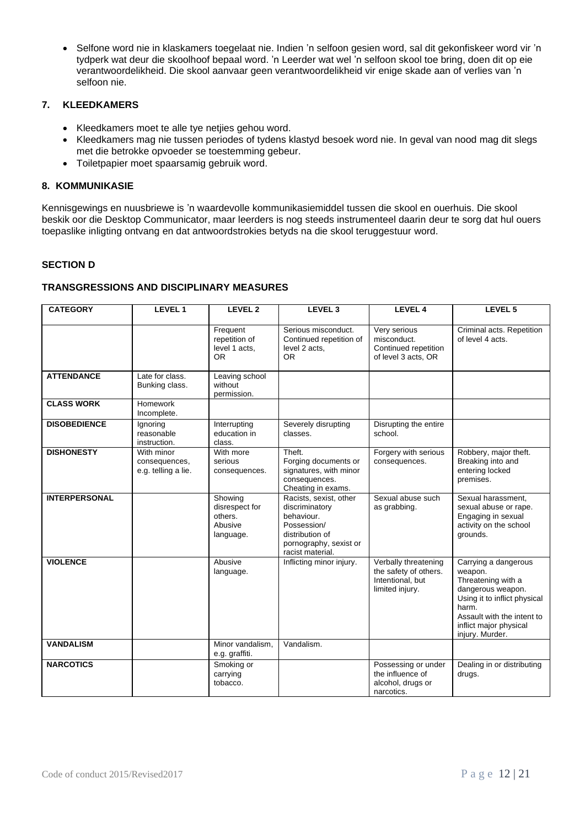• Selfone word nie in klaskamers toegelaat nie. Indien 'n selfoon gesien word, sal dit gekonfiskeer word vir 'n tydperk wat deur die skoolhoof bepaal word. 'n Leerder wat wel 'n selfoon skool toe bring, doen dit op eie verantwoordelikheid. Die skool aanvaar geen verantwoordelikheid vir enige skade aan of verlies van 'n selfoon nie.

## **7. KLEEDKAMERS**

- Kleedkamers moet te alle tye netjies gehou word.
- Kleedkamers mag nie tussen periodes of tydens klastyd besoek word nie. In geval van nood mag dit slegs met die betrokke opvoeder se toestemming gebeur.
- Toiletpapier moet spaarsamig gebruik word.

#### **8. KOMMUNIKASIE**

Kennisgewings en nuusbriewe is 'n waardevolle kommunikasiemiddel tussen die skool en ouerhuis. Die skool beskik oor die Desktop Communicator, maar leerders is nog steeds instrumenteel daarin deur te sorg dat hul ouers toepaslike inligting ontvang en dat antwoordstrokies betyds na die skool teruggestuur word.

#### **SECTION D**

#### **TRANSGRESSIONS AND DISCIPLINARY MEASURES**

| <b>CATEGORY</b>      | LEVEL 1                                            | LEVEL <sub>2</sub>                                           | LEVEL <sub>3</sub>                                                                                                                     | <b>LEVEL 4</b>                                                                       | LEVEL 5                                                                                                                                                                                        |
|----------------------|----------------------------------------------------|--------------------------------------------------------------|----------------------------------------------------------------------------------------------------------------------------------------|--------------------------------------------------------------------------------------|------------------------------------------------------------------------------------------------------------------------------------------------------------------------------------------------|
|                      |                                                    | Frequent<br>repetition of<br>level 1 acts,<br><b>OR</b>      | Serious misconduct.<br>Continued repetition of<br>level 2 acts.<br><b>OR</b>                                                           | Very serious<br>misconduct.<br>Continued repetition<br>of level 3 acts, OR           | Criminal acts. Repetition<br>of level 4 acts.                                                                                                                                                  |
| <b>ATTENDANCE</b>    | Late for class.<br>Bunking class.                  | Leaving school<br>without<br>permission.                     |                                                                                                                                        |                                                                                      |                                                                                                                                                                                                |
| <b>CLASS WORK</b>    | Homework<br>Incomplete.                            |                                                              |                                                                                                                                        |                                                                                      |                                                                                                                                                                                                |
| <b>DISOBEDIENCE</b>  | Ignoring<br>reasonable<br>instruction.             | Interrupting<br>education in<br>class.                       | Severely disrupting<br>classes.                                                                                                        | Disrupting the entire<br>school.                                                     |                                                                                                                                                                                                |
| <b>DISHONESTY</b>    | With minor<br>consequences,<br>e.g. telling a lie. | With more<br>serious<br>consequences.                        | Theft.<br>Forging documents or<br>signatures, with minor<br>consequences.<br>Cheating in exams.                                        | Forgery with serious<br>consequences.                                                | Robbery, major theft.<br>Breaking into and<br>entering locked<br>premises.                                                                                                                     |
| <b>INTERPERSONAL</b> |                                                    | Showing<br>disrespect for<br>others.<br>Abusive<br>language. | Racists, sexist, other<br>discriminatory<br>behaviour.<br>Possession/<br>distribution of<br>pornography, sexist or<br>racist material. | Sexual abuse such<br>as grabbing.                                                    | Sexual harassment,<br>sexual abuse or rape.<br>Engaging in sexual<br>activity on the school<br>grounds.                                                                                        |
| <b>VIOLENCE</b>      |                                                    | Abusive<br>language.                                         | Inflicting minor injury.                                                                                                               | Verbally threatening<br>the safety of others.<br>Intentional, but<br>limited injury. | Carrying a dangerous<br>weapon.<br>Threatening with a<br>dangerous weapon.<br>Using it to inflict physical<br>harm.<br>Assault with the intent to<br>inflict major physical<br>injury. Murder. |
| <b>VANDALISM</b>     |                                                    | Minor vandalism,<br>e.g. graffiti.                           | Vandalism.                                                                                                                             |                                                                                      |                                                                                                                                                                                                |
| <b>NARCOTICS</b>     |                                                    | Smoking or<br>carrying<br>tobacco.                           |                                                                                                                                        | Possessing or under<br>the influence of<br>alcohol, drugs or<br>narcotics.           | Dealing in or distributing<br>drugs.                                                                                                                                                           |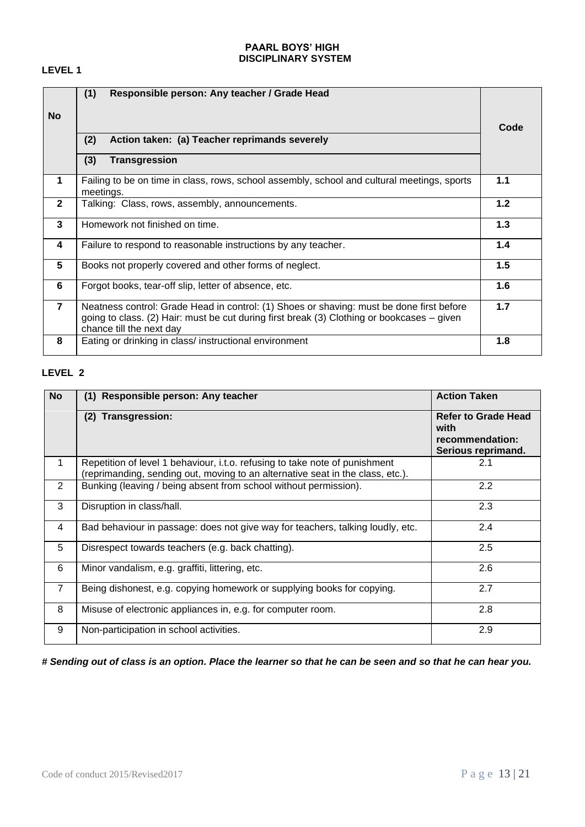#### **PAARL BOYS' HIGH DISCIPLINARY SYSTEM**

## **LEVEL 1**

|                         | (1)<br>Responsible person: Any teacher / Grade Head                                                                                                                                                                |     |  |
|-------------------------|--------------------------------------------------------------------------------------------------------------------------------------------------------------------------------------------------------------------|-----|--|
| <b>No</b>               |                                                                                                                                                                                                                    |     |  |
|                         | (2)<br>Action taken: (a) Teacher reprimands severely                                                                                                                                                               |     |  |
|                         | (3)<br><b>Transgression</b>                                                                                                                                                                                        |     |  |
| $\mathbf 1$             | Failing to be on time in class, rows, school assembly, school and cultural meetings, sports<br>meetings.                                                                                                           | 1.1 |  |
| $\mathbf{2}$            | Talking: Class, rows, assembly, announcements.                                                                                                                                                                     | 1.2 |  |
| 3                       | Homework not finished on time.                                                                                                                                                                                     | 1.3 |  |
| $\overline{\mathbf{4}}$ | Failure to respond to reasonable instructions by any teacher.                                                                                                                                                      | 1.4 |  |
| 5                       | Books not properly covered and other forms of neglect.                                                                                                                                                             | 1.5 |  |
| 6                       | Forgot books, tear-off slip, letter of absence, etc.                                                                                                                                                               | 1.6 |  |
| $\overline{7}$          | Neatness control: Grade Head in control: (1) Shoes or shaving: must be done first before<br>going to class. (2) Hair: must be cut during first break (3) Clothing or bookcases – given<br>chance till the next day | 1.7 |  |
| 8                       | Eating or drinking in class/ instructional environment                                                                                                                                                             | 1.8 |  |

## **LEVEL 2**

| <b>No</b>      | Responsible person: Any teacher<br>(1)                                                                                                                        | <b>Action Taken</b>                                                         |
|----------------|---------------------------------------------------------------------------------------------------------------------------------------------------------------|-----------------------------------------------------------------------------|
|                | (2) Transgression:                                                                                                                                            | <b>Refer to Grade Head</b><br>with<br>recommendation:<br>Serious reprimand. |
| 1              | Repetition of level 1 behaviour, i.t.o. refusing to take note of punishment<br>(reprimanding, sending out, moving to an alternative seat in the class, etc.). | 2.1                                                                         |
| 2              | Bunking (leaving / being absent from school without permission).                                                                                              | 2.2                                                                         |
| 3              | Disruption in class/hall.                                                                                                                                     | 2.3                                                                         |
| 4              | Bad behaviour in passage: does not give way for teachers, talking loudly, etc.                                                                                | 2.4                                                                         |
| 5              | Disrespect towards teachers (e.g. back chatting).                                                                                                             | 2.5                                                                         |
| 6              | Minor vandalism, e.g. graffiti, littering, etc.                                                                                                               | 2.6                                                                         |
| $\overline{7}$ | Being dishonest, e.g. copying homework or supplying books for copying.                                                                                        | 2.7                                                                         |
| 8              | Misuse of electronic appliances in, e.g. for computer room.                                                                                                   | 2.8                                                                         |
| 9              | Non-participation in school activities.                                                                                                                       | 2.9                                                                         |

*# Sending out of class is an option. Place the learner so that he can be seen and so that he can hear you.*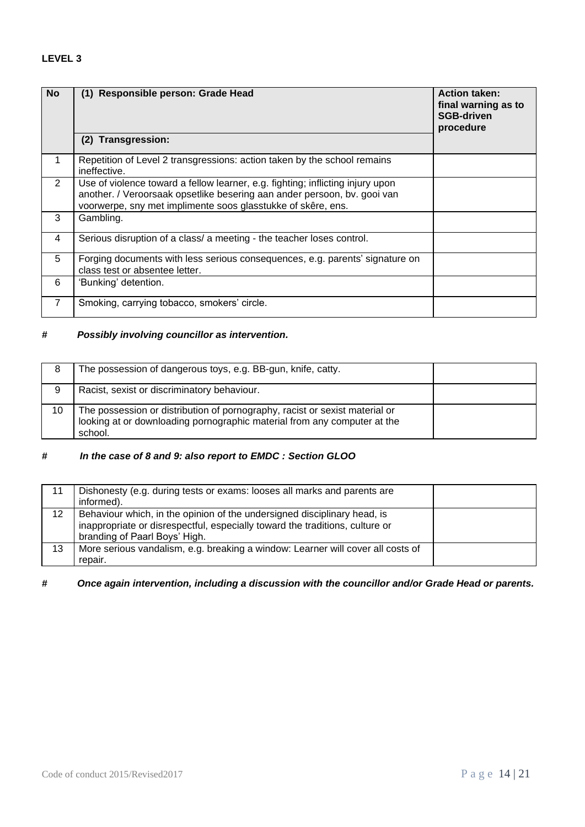## **LEVEL 3**

| <b>No</b>      | (1) Responsible person: Grade Head<br>Transgression:<br>(2)                                                                                                                                                                | <b>Action taken:</b><br>final warning as to<br><b>SGB-driven</b><br>procedure |
|----------------|----------------------------------------------------------------------------------------------------------------------------------------------------------------------------------------------------------------------------|-------------------------------------------------------------------------------|
| 1              | Repetition of Level 2 transgressions: action taken by the school remains<br>ineffective.                                                                                                                                   |                                                                               |
| $\overline{2}$ | Use of violence toward a fellow learner, e.g. fighting; inflicting injury upon<br>another. / Veroorsaak opsetlike besering aan ander persoon, bv. gooi van<br>voorwerpe, sny met implimente soos glasstukke of skêre, ens. |                                                                               |
| 3              | Gambling.                                                                                                                                                                                                                  |                                                                               |
| 4              | Serious disruption of a class/ a meeting - the teacher loses control.                                                                                                                                                      |                                                                               |
| 5              | Forging documents with less serious consequences, e.g. parents' signature on<br>class test or absentee letter.                                                                                                             |                                                                               |
| 6              | 'Bunking' detention.                                                                                                                                                                                                       |                                                                               |
| $\overline{7}$ | Smoking, carrying tobacco, smokers' circle.                                                                                                                                                                                |                                                                               |

## *# Possibly involving councillor as intervention.*

| 8  | The possession of dangerous toys, e.g. BB-gun, knife, catty.                                                                                                       |  |
|----|--------------------------------------------------------------------------------------------------------------------------------------------------------------------|--|
| 9  | Racist, sexist or discriminatory behaviour.                                                                                                                        |  |
| 10 | The possession or distribution of pornography, racist or sexist material or<br>looking at or downloading pornographic material from any computer at the<br>school. |  |

## *# In the case of 8 and 9: also report to EMDC : Section GLOO*

| 11 | Dishonesty (e.g. during tests or exams: looses all marks and parents are<br>informed).                                                                                                    |  |
|----|-------------------------------------------------------------------------------------------------------------------------------------------------------------------------------------------|--|
| 12 | Behaviour which, in the opinion of the undersigned disciplinary head, is<br>inappropriate or disrespectful, especially toward the traditions, culture or<br>branding of Paarl Boys' High. |  |
| 13 | More serious vandalism, e.g. breaking a window: Learner will cover all costs of<br>repair.                                                                                                |  |

## *# Once again intervention, including a discussion with the councillor and/or Grade Head or parents.*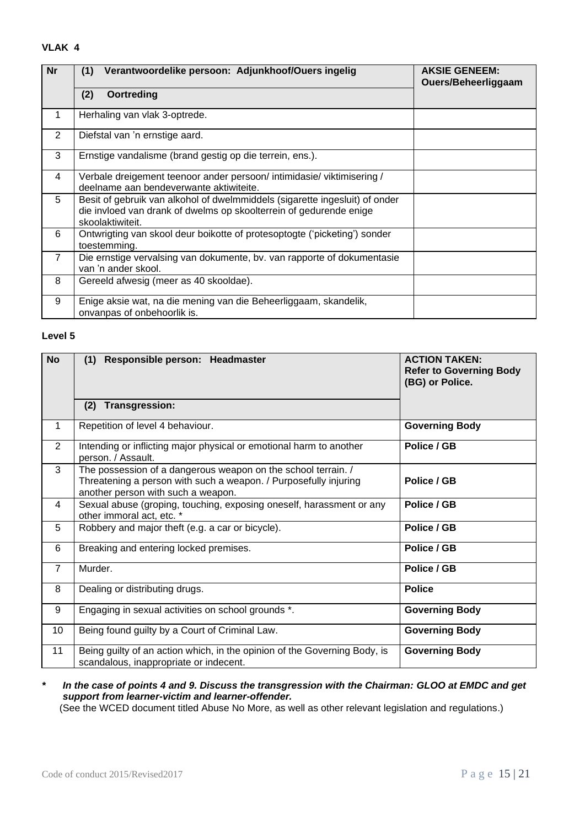#### **VLAK 4**

| <b>Nr</b>      | Verantwoordelike persoon: Adjunkhoof/Ouers ingelig<br>(1)                                                                                                             | <b>AKSIE GENEEM:</b><br>Ouers/Beheerliggaam |
|----------------|-----------------------------------------------------------------------------------------------------------------------------------------------------------------------|---------------------------------------------|
|                | (2)<br>Oortreding                                                                                                                                                     |                                             |
| 1              | Herhaling van vlak 3-optrede.                                                                                                                                         |                                             |
| $\overline{2}$ | Diefstal van 'n ernstige aard.                                                                                                                                        |                                             |
| 3              | Ernstige vandalisme (brand gestig op die terrein, ens.).                                                                                                              |                                             |
| $\overline{4}$ | Verbale dreigement teenoor ander persoon/ intimidasie/ viktimisering /<br>deelname aan bendeverwante aktiwiteite.                                                     |                                             |
| 5              | Besit of gebruik van alkohol of dwelmmiddels (sigarette ingesluit) of onder<br>die invloed van drank of dwelms op skoolterrein of gedurende enige<br>skoolaktiwiteit. |                                             |
| 6              | Ontwrigting van skool deur boikotte of protesoptogte ('picketing') sonder<br>toestemming.                                                                             |                                             |
| $\overline{7}$ | Die ernstige vervalsing van dokumente, by. van rapporte of dokumentasie<br>van 'n ander skool.                                                                        |                                             |
| 8              | Gereeld afwesig (meer as 40 skooldae).                                                                                                                                |                                             |
| 9              | Enige aksie wat, na die mening van die Beheerliggaam, skandelik,<br>onvanpas of onbehoorlik is.                                                                       |                                             |

#### **Level 5**

| <b>No</b>      | (1) Responsible person: Headmaster                                                                                                                                      | <b>ACTION TAKEN:</b><br><b>Refer to Governing Body</b><br>(BG) or Police. |
|----------------|-------------------------------------------------------------------------------------------------------------------------------------------------------------------------|---------------------------------------------------------------------------|
|                | Transgression:<br>(2)                                                                                                                                                   |                                                                           |
| 1              | Repetition of level 4 behaviour.                                                                                                                                        | <b>Governing Body</b>                                                     |
| $\overline{2}$ | Intending or inflicting major physical or emotional harm to another<br>person. / Assault.                                                                               | Police / GB                                                               |
| 3              | The possession of a dangerous weapon on the school terrain. /<br>Threatening a person with such a weapon. / Purposefully injuring<br>another person with such a weapon. | Police / GB                                                               |
| 4              | Sexual abuse (groping, touching, exposing oneself, harassment or any<br>other immoral act, etc. *                                                                       | Police / GB                                                               |
| 5              | Robbery and major theft (e.g. a car or bicycle).                                                                                                                        | Police / GB                                                               |
| 6              | Breaking and entering locked premises.                                                                                                                                  | Police / GB                                                               |
| $\overline{7}$ | Murder.                                                                                                                                                                 | Police / GB                                                               |
| 8              | Dealing or distributing drugs.                                                                                                                                          | <b>Police</b>                                                             |
| 9              | Engaging in sexual activities on school grounds *.                                                                                                                      | <b>Governing Body</b>                                                     |
| 10             | Being found guilty by a Court of Criminal Law.                                                                                                                          | <b>Governing Body</b>                                                     |
| 11             | Being guilty of an action which, in the opinion of the Governing Body, is<br>scandalous, inappropriate or indecent.                                                     | <b>Governing Body</b>                                                     |

*\* In the case of points 4 and 9. Discuss the transgression with the Chairman: GLOO at EMDC and get support from learner-victim and learner-offender.*

(See the WCED document titled Abuse No More, as well as other relevant legislation and regulations.)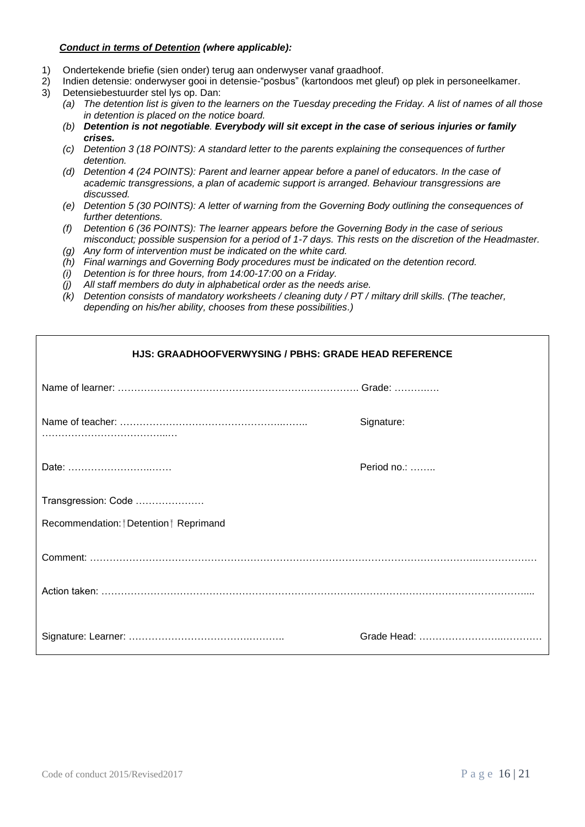#### *Conduct in terms of Detention (where applicable):*

- 1) Ondertekende briefie (sien onder) terug aan onderwyser vanaf graadhoof.<br>2) Indien detensie: onderwyser gooi in detensie-"posbus" (kartondoos met gle
	- 2) Indien detensie: onderwyser gooi in detensie-"posbus" (kartondoos met gleuf) op plek in personeelkamer.
- 3) Detensiebestuurder stel lys op. Dan:
	- *(a) The detention list is given to the learners on the Tuesday preceding the Friday. A list of names of all those in detention is placed on the notice board.*
	- *(b) Detention is not negotiable. Everybody will sit except in the case of serious injuries or family crises.*
	- *(c) Detention 3 (18 POINTS): A standard letter to the parents explaining the consequences of further detention.*
	- *(d) Detention 4 (24 POINTS): Parent and learner appear before a panel of educators. In the case of academic transgressions, a plan of academic support is arranged. Behaviour transgressions are discussed.*
	- *(e) Detention 5 (30 POINTS): A letter of warning from the Governing Body outlining the consequences of further detentions.*
	- *(f) Detention 6 (36 POINTS): The learner appears before the Governing Body in the case of serious misconduct; possible suspension for a period of 1-7 days. This rests on the discretion of the Headmaster.*
	- *(g) Any form of intervention must be indicated on the white card.*
	- *(h) Final warnings and Governing Body procedures must be indicated on the detention record.*
	- *(i) Detention is for three hours, from 14:00-17:00 on a Friday.*
	- *(j) All staff members do duty in alphabetical order as the needs arise.*
	- *(k) Detention consists of mandatory worksheets / cleaning duty / PT / miltary drill skills. (The teacher, depending on his/her ability, chooses from these possibilities.)*

| HJS: GRAADHOOFVERWYSING / PBHS: GRADE HEAD REFERENCE |                     |  |
|------------------------------------------------------|---------------------|--|
|                                                      |                     |  |
|                                                      | Signature:          |  |
| Date:                                                | Period no.: $\dots$ |  |
| Transgression: Code                                  |                     |  |
| Recommendation: <i>†</i> Detention † Reprimand       |                     |  |
|                                                      |                     |  |
|                                                      |                     |  |
|                                                      |                     |  |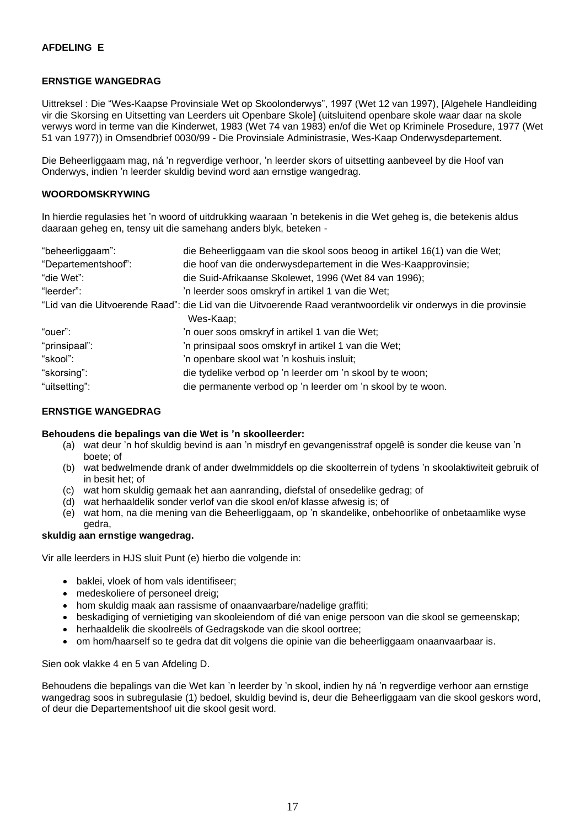#### **ERNSTIGE WANGEDRAG**

Uittreksel : Die "Wes-Kaapse Provinsiale Wet op Skoolonderwys", 1997 (Wet 12 van 1997), [Algehele Handleiding vir die Skorsing en Uitsetting van Leerders uit Openbare Skole] (uitsluitend openbare skole waar daar na skole verwys word in terme van die Kinderwet, 1983 (Wet 74 van 1983) en/of die Wet op Kriminele Prosedure, 1977 (Wet 51 van 1977)) in Omsendbrief 0030/99 - Die Provinsiale Administrasie, Wes-Kaap Onderwysdepartement.

Die Beheerliggaam mag, ná 'n regverdige verhoor, 'n leerder skors of uitsetting aanbeveel by die Hoof van Onderwys, indien 'n leerder skuldig bevind word aan ernstige wangedrag.

#### **WOORDOMSKRYWING**

In hierdie regulasies het 'n woord of uitdrukking waaraan 'n betekenis in die Wet geheg is, die betekenis aldus daaraan geheg en, tensy uit die samehang anders blyk, beteken -

| "beheerliggaam":    | die Beheerliggaam van die skool soos beoog in artikel 16(1) van die Wet;                                       |  |
|---------------------|----------------------------------------------------------------------------------------------------------------|--|
| "Departementshoof": | die hoof van die onderwysdepartement in die Wes-Kaapprovinsie;                                                 |  |
| "die Wet":          | die Suid-Afrikaanse Skolewet, 1996 (Wet 84 van 1996);                                                          |  |
| "leerder":          | 'n leerder soos omskryf in artikel 1 van die Wet;                                                              |  |
|                     | "Lid van die Uitvoerende Raad": die Lid van die Uitvoerende Raad verantwoordelik vir onderwys in die provinsie |  |
|                     | Wes-Kaap:                                                                                                      |  |
| "ouer":             | 'n ouer soos omskryf in artikel 1 van die Wet;                                                                 |  |
| "prinsipaal":       | 'n prinsipaal soos omskryf in artikel 1 van die Wet;                                                           |  |
| "skool":            | 'n openbare skool wat 'n koshuis insluit;                                                                      |  |
| "skorsing":         | die tydelike verbod op 'n leerder om 'n skool by te woon;                                                      |  |
| "uitsetting":       | die permanente verbod op 'n leerder om 'n skool by te woon.                                                    |  |

#### **ERNSTIGE WANGEDRAG**

#### **Behoudens die bepalings van die Wet is 'n skoolleerder:**

- (a) wat deur 'n hof skuldig bevind is aan 'n misdryf en gevangenisstraf opgelê is sonder die keuse van 'n boete; of
- (b) wat bedwelmende drank of ander dwelmmiddels op die skoolterrein of tydens 'n skoolaktiwiteit gebruik of in besit het; of
- (c) wat hom skuldig gemaak het aan aanranding, diefstal of onsedelike gedrag; of
- (d) wat herhaaldelik sonder verlof van die skool en/of klasse afwesig is; of
- (e) wat hom, na die mening van die Beheerliggaam, op 'n skandelike, onbehoorlike of onbetaamlike wyse gedra,

#### **skuldig aan ernstige wangedrag.**

Vir alle leerders in HJS sluit Punt (e) hierbo die volgende in:

- baklei, vloek of hom vals identifiseer;
- medeskoliere of personeel dreig;
- hom skuldig maak aan rassisme of onaanvaarbare/nadelige graffiti;
- beskadiging of vernietiging van skooleiendom of dié van enige persoon van die skool se gemeenskap;
- herhaaldelik die skoolreëls of Gedragskode van die skool oortree;
- om hom/haarself so te gedra dat dit volgens die opinie van die beheerliggaam onaanvaarbaar is.

#### Sien ook vlakke 4 en 5 van Afdeling D.

Behoudens die bepalings van die Wet kan 'n leerder by 'n skool, indien hy ná 'n regverdige verhoor aan ernstige wangedrag soos in subregulasie (1) bedoel, skuldig bevind is, deur die Beheerliggaam van die skool geskors word, of deur die Departementshoof uit die skool gesit word.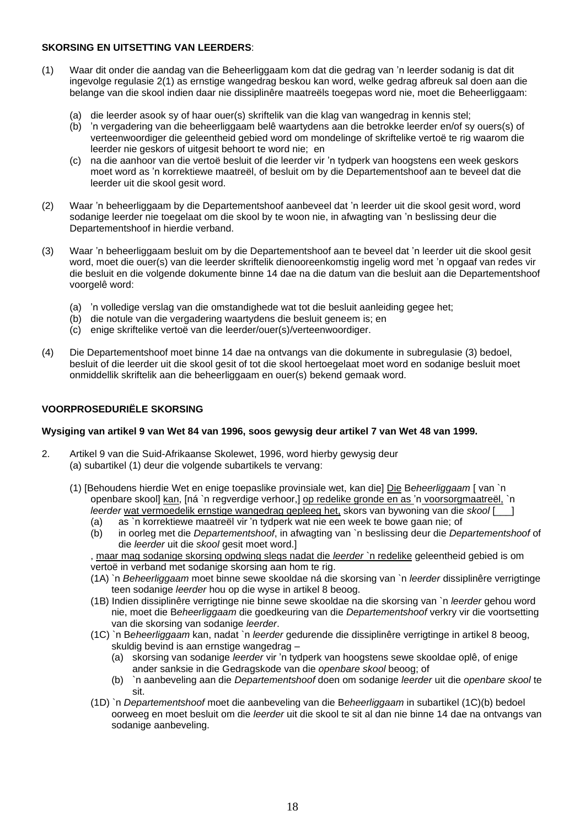## **SKORSING EN UITSETTING VAN LEERDERS**:

- (1) Waar dit onder die aandag van die Beheerliggaam kom dat die gedrag van 'n leerder sodanig is dat dit ingevolge regulasie 2(1) as ernstige wangedrag beskou kan word, welke gedrag afbreuk sal doen aan die belange van die skool indien daar nie dissiplinêre maatreëls toegepas word nie, moet die Beheerliggaam:
	- (a) die leerder asook sy of haar ouer(s) skriftelik van die klag van wangedrag in kennis stel;
	- (b) 'n vergadering van die beheerliggaam belê waartydens aan die betrokke leerder en/of sy ouers(s) of verteenwoordiger die geleentheid gebied word om mondelinge of skriftelike vertoë te rig waarom die leerder nie geskors of uitgesit behoort te word nie; en
	- (c) na die aanhoor van die vertoë besluit of die leerder vir 'n tydperk van hoogstens een week geskors moet word as 'n korrektiewe maatreël, of besluit om by die Departementshoof aan te beveel dat die leerder uit die skool gesit word.
- (2) Waar 'n beheerliggaam by die Departementshoof aanbeveel dat 'n leerder uit die skool gesit word, word sodanige leerder nie toegelaat om die skool by te woon nie, in afwagting van 'n beslissing deur die Departementshoof in hierdie verband.
- (3) Waar 'n beheerliggaam besluit om by die Departementshoof aan te beveel dat 'n leerder uit die skool gesit word, moet die ouer(s) van die leerder skriftelik dienooreenkomstig ingelig word met 'n opgaaf van redes vir die besluit en die volgende dokumente binne 14 dae na die datum van die besluit aan die Departementshoof voorgelê word:
	- (a) 'n volledige verslag van die omstandighede wat tot die besluit aanleiding gegee het;
	- (b) die notule van die vergadering waartydens die besluit geneem is; en
	- (c) enige skriftelike vertoë van die leerder/ouer(s)/verteenwoordiger.
- (4) Die Departementshoof moet binne 14 dae na ontvangs van die dokumente in subregulasie (3) bedoel, besluit of die leerder uit die skool gesit of tot die skool hertoegelaat moet word en sodanige besluit moet onmiddellik skriftelik aan die beheerliggaam en ouer(s) bekend gemaak word.

## **VOORPROSEDURIËLE SKORSING**

#### **Wysiging van artikel 9 van Wet 84 van 1996, soos gewysig deur artikel 7 van Wet 48 van 1999.**

- 2. Artikel 9 van die Suid-Afrikaanse Skolewet, 1996, word hierby gewysig deur (a) subartikel (1) deur die volgende subartikels te vervang:
	- (1) [Behoudens hierdie Wet en enige toepaslike provinsiale wet, kan die] Die B*eheerliggaam* [ van `n openbare skool] kan, [ná `n regverdige verhoor,] op redelike gronde en as 'n voorsorgmaatreël, `n *leerder* wat vermoedelik ernstige wangedrag gepleeg het, skors van bywoning van die *skool* [\_\_\_]
		- (a) as `n korrektiewe maatreël vir 'n tydperk wat nie een week te bowe gaan nie; of
		- (b) in oorleg met die *Departementshoof*, in afwagting van `n beslissing deur die *Departementshoof* of die *leerder* uit die *skool* gesit moet word.]

, maar mag sodanige skorsing opdwing slegs nadat die *leerder* `n redelike geleentheid gebied is om vertoë in verband met sodanige skorsing aan hom te rig.

- (1A) `n *Beheerliggaam* moet binne sewe skooldae ná die skorsing van `n *leerder* dissiplinêre verrigtinge teen sodanige *leerder* hou op die wyse in artikel 8 beoog.
- (1B) Indien dissiplinêre verrigtinge nie binne sewe skooldae na die skorsing van `n *leerder* gehou word nie, moet die B*eheerliggaam* die goedkeuring van die *Departementshoof* verkry vir die voortsetting van die skorsing van sodanige *leerder*.
- (1C) `n B*eheerliggaam* kan, nadat `n *leerder* gedurende die dissiplinêre verrigtinge in artikel 8 beoog, skuldig bevind is aan ernstige wangedrag –
	- (a) skorsing van sodanige *leerder* vir 'n tydperk van hoogstens sewe skooldae oplê, of enige ander sanksie in die Gedragskode van die *openbare skool* beoog; of
	- (b) `n aanbeveling aan die *Departementshoof* doen om sodanige *leerder* uit die *openbare skool* te sit.
- (1D) `n *Departementshoof* moet die aanbeveling van die B*eheerliggaam* in subartikel (1C)(b) bedoel oorweeg en moet besluit om die *leerder* uit die skool te sit al dan nie binne 14 dae na ontvangs van sodanige aanbeveling.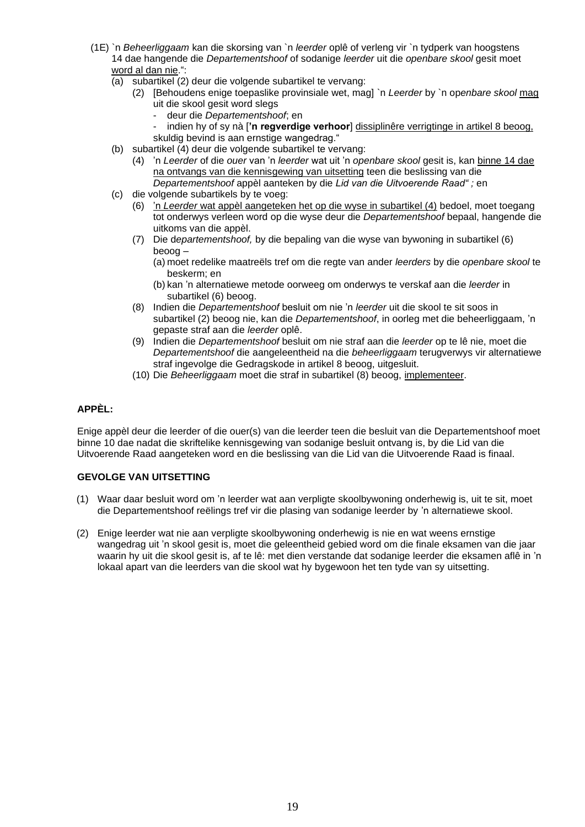- (1E) `n *Beheerliggaam* kan die skorsing van `n *leerder* oplê of verleng vir `n tydperk van hoogstens 14 dae hangende die *Departementshoof* of sodanige *leerder* uit die *openbare skool* gesit moet word al dan nie.":
	- (a) subartikel (2) deur die volgende subartikel te vervang:
		- (2) [Behoudens enige toepaslike provinsiale wet, mag] `n *Leerder* by `n op*enbare skool* mag uit die skool gesit word slegs
			- deur die *Departementshoof*; en
			- indien hy of sy nà [**'n regverdige verhoor**] dissiplinêre verrigtinge in artikel 8 beoog,
			- skuldig bevind is aan ernstige wangedrag."
	- (b) subartikel (4) deur die volgende subartikel te vervang:
		- (4) 'n *Leerder* of die *ouer* van 'n *leerder* wat uit 'n *openbare skool* gesit is, kan binne 14 dae na ontvangs van die kennisgewing van uitsetting teen die beslissing van die *Departementshoof* appèl aanteken by die *Lid van die Uitvoerende Raad" ;* en
	- (c) die volgende subartikels by te voeg:
		- (6) 'n *Leerder* wat appèl aangeteken het op die wyse in subartikel (4) bedoel, moet toegang tot onderwys verleen word op die wyse deur die *Departementshoof* bepaal, hangende die uitkoms van die appèl.
		- (7) Die d*epartementshoof,* by die bepaling van die wyse van bywoning in subartikel (6) beoog –
			- (a) moet redelike maatreëls tref om die regte van ander *leerders* by die *openbare skool* te beskerm; en
			- (b) kan 'n alternatiewe metode oorweeg om onderwys te verskaf aan die *leerder* in subartikel (6) beoog.
		- (8) Indien die *Departementshoof* besluit om nie 'n *leerder* uit die skool te sit soos in subartikel (2) beoog nie, kan die *Departementshoof*, in oorleg met die beheerliggaam, 'n gepaste straf aan die *leerder* oplê.
		- (9) Indien die *Departementshoof* besluit om nie straf aan die *leerder* op te lê nie, moet die *Departementshoof* die aangeleentheid na die *beheerliggaam* terugverwys vir alternatiewe straf ingevolge die Gedragskode in artikel 8 beoog, uitgesluit.
		- (10) Die *Beheerliggaam* moet die straf in subartikel (8) beoog, implementeer.

## **APPÈL:**

Enige appèl deur die leerder of die ouer(s) van die leerder teen die besluit van die Departementshoof moet binne 10 dae nadat die skriftelike kennisgewing van sodanige besluit ontvang is, by die Lid van die Uitvoerende Raad aangeteken word en die beslissing van die Lid van die Uitvoerende Raad is finaal.

#### **GEVOLGE VAN UITSETTING**

- (1) Waar daar besluit word om 'n leerder wat aan verpligte skoolbywoning onderhewig is, uit te sit, moet die Departementshoof reëlings tref vir die plasing van sodanige leerder by 'n alternatiewe skool.
- (2) Enige leerder wat nie aan verpligte skoolbywoning onderhewig is nie en wat weens ernstige wangedrag uit 'n skool gesit is, moet die geleentheid gebied word om die finale eksamen van die jaar waarin hy uit die skool gesit is, af te lê: met dien verstande dat sodanige leerder die eksamen aflê in 'n lokaal apart van die leerders van die skool wat hy bygewoon het ten tyde van sy uitsetting.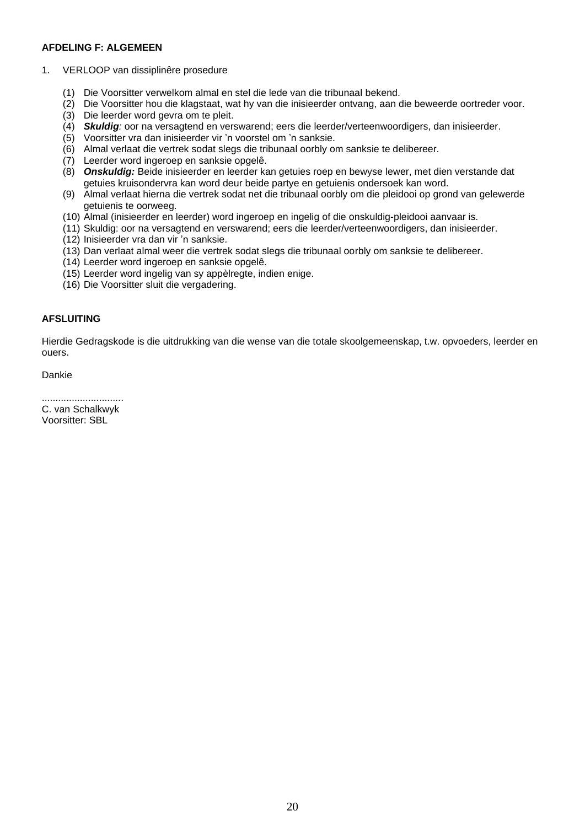#### **AFDELING F: ALGEMEEN**

- 1. VERLOOP van dissiplinêre prosedure
	- (1) Die Voorsitter verwelkom almal en stel die lede van die tribunaal bekend.
	- (2) Die Voorsitter hou die klagstaat, wat hy van die inisieerder ontvang, aan die beweerde oortreder voor.
	- (3) Die leerder word gevra om te pleit.
	- (4) *Skuldig:* oor na versagtend en verswarend; eers die leerder/verteenwoordigers, dan inisieerder.
	- (5) Voorsitter vra dan inisieerder vir 'n voorstel om 'n sanksie.
	- (6) Almal verlaat die vertrek sodat slegs die tribunaal oorbly om sanksie te delibereer.
	- (7) Leerder word ingeroep en sanksie opgelê.
	- (8) *Onskuldig:* Beide inisieerder en leerder kan getuies roep en bewyse lewer, met dien verstande dat getuies kruisondervra kan word deur beide partye en getuienis ondersoek kan word.
	- (9) Almal verlaat hierna die vertrek sodat net die tribunaal oorbly om die pleidooi op grond van gelewerde getuienis te oorweeg.
	- (10) Almal (inisieerder en leerder) word ingeroep en ingelig of die onskuldig-pleidooi aanvaar is.
	- (11) Skuldig: oor na versagtend en verswarend; eers die leerder/verteenwoordigers, dan inisieerder.
	- (12) Inisieerder vra dan vir 'n sanksie.
	- (13) Dan verlaat almal weer die vertrek sodat slegs die tribunaal oorbly om sanksie te delibereer.
	- (14) Leerder word ingeroep en sanksie opgelê.
	- (15) Leerder word ingelig van sy appèlregte, indien enige.
	- (16) Die Voorsitter sluit die vergadering.

## **AFSLUITING**

Hierdie Gedragskode is die uitdrukking van die wense van die totale skoolgemeenskap, t.w. opvoeders, leerder en ouers.

Dankie

.............................. C. van Schalkwyk

Voorsitter: SBL